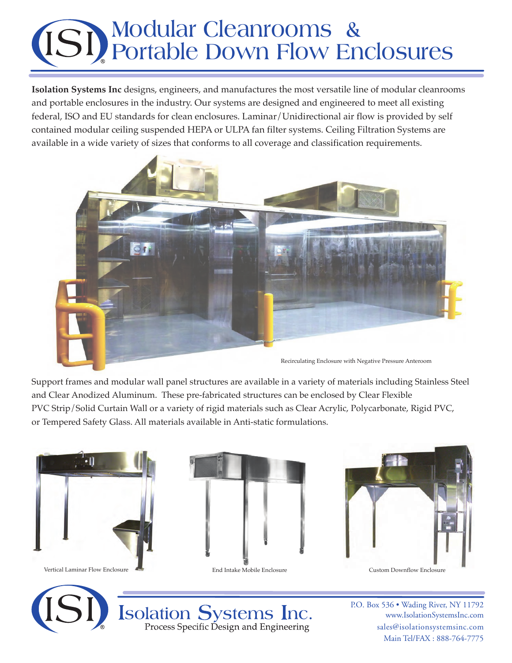## **Modular Cleanrooms & Portable Down Flow Enclosures**

**Isolation Systems Inc** designs, engineers, and manufactures the most versatile line of modular cleanrooms and portable enclosures in the industry. Our systems are designed and engineered to meet all existing federal, ISO and EU standards for clean enclosures. Laminar/Unidirectional air flow is provided by self contained modular ceiling suspended HEPA or ULPA fan filter systems. Ceiling Filtration Systems are available in a wide variety of sizes that conforms to all coverage and classification requirements.



Support frames and modular wall panel structures are available in a variety of materials including Stainless Steel and Clear Anodized Aluminum. These pre-fabricated structures can be enclosed by Clear Flexible PVC Strip/Solid Curtain Wall or a variety of rigid materials such as Clear Acrylic, Polycarbonate, Rigid PVC, or Tempered Safety Glass. All materials available in Anti-static formulations.







**ISOlation Systems Inc.**<br>Process Specific Design and Engineering



P.O. Box 536 • Wading River, NY 11792 www.IsolationSystemsInc.com sales@isolationsystemsinc.com Main Tel/FAX : 888-764-7775